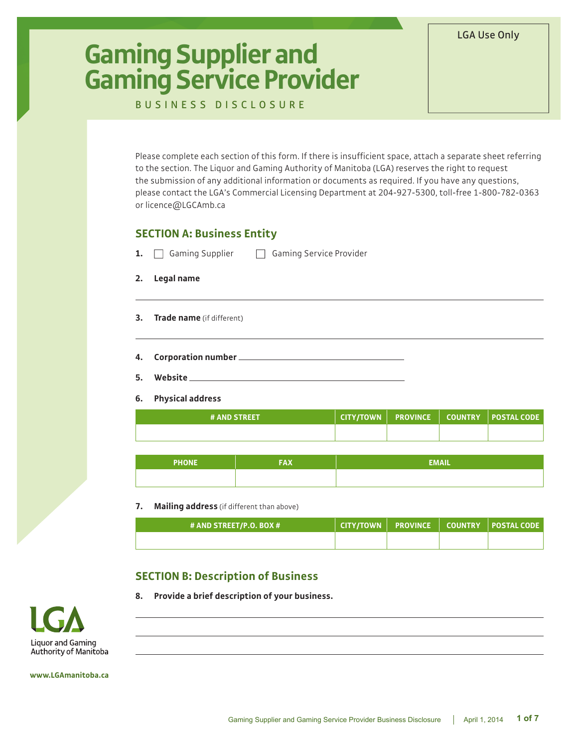# **Gaming Supplier and Gaming Service Provider**

BUSINESS DISCLOSURE

Please complete each section of this form. If there is insufficient space, attach a separate sheet referring to the section. The Liquor and Gaming Authority of Manitoba (LGA) reserves the right to request the submission of any additional information or documents as required. If you have any questions, please contact the LGA's Commercial Licensing Department at 204-927-5300, toll-free 1-800-782-0363 or licence@LGCAmb.ca

## **SECTION A: Business Entity**

|    | <b>1.</b> $\Box$ Gaming Supplier | <b>Gaming Service Provider</b><br>$\pm$ |
|----|----------------------------------|-----------------------------------------|
| 2. | Legal name                       |                                         |
| 3. | <b>Trade name</b> (if different) |                                         |

- **4. Corporation number**
- **5. Website**
- **6. Physical address**

| <b># AND STREET</b> |  |  |
|---------------------|--|--|
|                     |  |  |

| <b>PHONE</b> | FAX | <b>EMAIL</b> |
|--------------|-----|--------------|
|              |     |              |

#### **7. Mailing address** (if different than above)

| # AND STREET/P.O. BOX # |  |  |
|-------------------------|--|--|
|                         |  |  |

# **SECTION B: Description of Business**

**8. Provide a brief description of your business.**

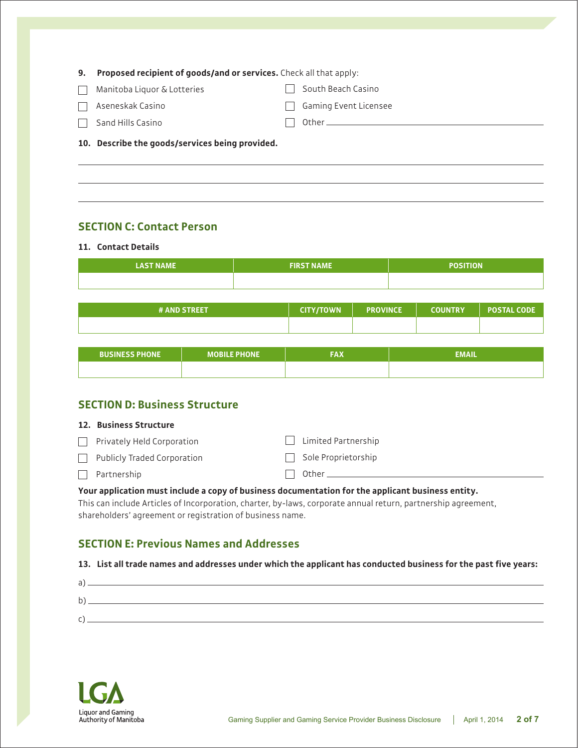| 9. Proposed recipient of goods/and or services. Check all that apply: |              |                              |
|-----------------------------------------------------------------------|--------------|------------------------------|
| Manitoba Liquor & Lotteries                                           |              | South Beach Casino           |
| Aseneskak Casino                                                      | $\mathbf{L}$ | <b>Gaming Event Licensee</b> |
| Sand Hills Casino                                                     |              |                              |
| 10. Describe the goods/services being provided.                       |              |                              |

## **SECTION C: Contact Person**

#### **11. Contact Details**

| <b>LAST NAME</b>      |                     | <b>FIRST NAME</b> |                 | <b>POSITION</b> |                |                    |  |
|-----------------------|---------------------|-------------------|-----------------|-----------------|----------------|--------------------|--|
|                       |                     |                   |                 |                 |                |                    |  |
|                       |                     |                   |                 |                 |                |                    |  |
| # AND STREET          |                     | <b>CITY/TOWN</b>  | <b>PROVINCE</b> |                 | <b>COUNTRY</b> | <b>POSTAL CODE</b> |  |
|                       |                     |                   |                 |                 |                |                    |  |
|                       |                     |                   |                 |                 |                |                    |  |
| <b>BUSINESS PHONE</b> | <b>MOBILE PHONE</b> | <b>FAX</b>        |                 | <b>EMAIL</b>    |                |                    |  |
|                       |                     |                   |                 |                 |                |                    |  |

## **SECTION D: Business Structure**

 $\Box$  Privately Held Corporation **Limited Partnership**  $\Box$  Sole Proprietorship

Publicly Traded Corporation

| Partnership |  |
|-------------|--|
|-------------|--|

#### **Your application must include a copy of business documentation for the applicant business entity.**

This can include Articles of Incorporation, charter, by-laws, corporate annual return, partnership agreement, shareholders' agreement or registration of business name.

## **SECTION E: Previous Names and Addresses**

#### **13. List all trade names and addresses under which the applicant has conducted business for the past five years:**

 $\Box$  Other  $\Box$ 

| $\overline{\phantom{0}}$ |  |  |
|--------------------------|--|--|
| h                        |  |  |
|                          |  |  |

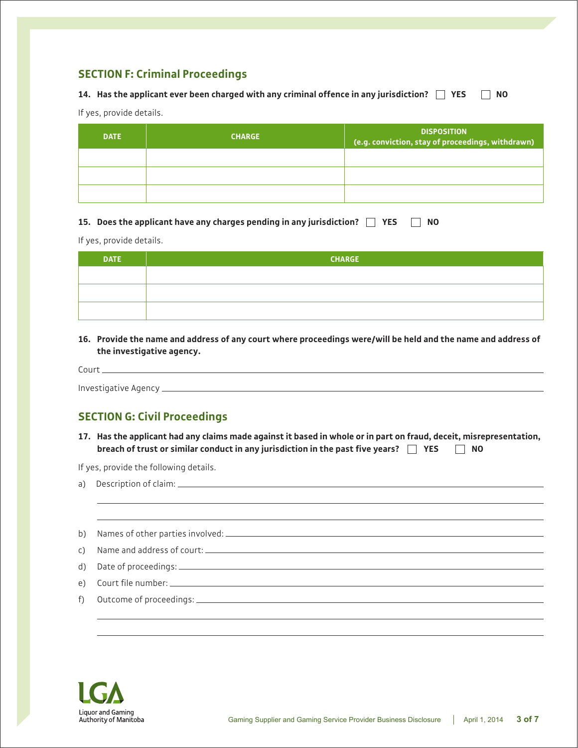# **SECTION F: Criminal Proceedings**

#### **14. Has the applicant ever been charged with any criminal offence in any jurisdiction? YES NO**

If yes, provide details.

| <b>DATE</b> | <b>CHARGE</b> | <b>DISPOSITION</b><br>(e.g. conviction, stay of proceedings, withdrawn) |
|-------------|---------------|-------------------------------------------------------------------------|
|             |               |                                                                         |
|             |               |                                                                         |
|             |               |                                                                         |

| 15. Does the applicant have any charges pending in any jurisdiction? The YES The NO |  |  |  |
|-------------------------------------------------------------------------------------|--|--|--|
|                                                                                     |  |  |  |

If yes, provide details.

| <b>DATE</b> | <b>CHARGE</b> |
|-------------|---------------|
|             |               |
|             |               |
|             |               |

**16. Provide the name and address of any court where proceedings were/will be held and the name and address of the investigative agency.**

| $C$ $O$ $I$ |  |  |  |
|-------------|--|--|--|
|             |  |  |  |
| ноаг<br>.   |  |  |  |

# **SECTION G: Civil Proceedings**

**17. Has the applicant had any claims made against it based in whole or in part on fraud, deceit, misrepresentation, breach of trust or similar conduct in any jurisdiction in the past five years? YES NO**

If yes, provide the following details.

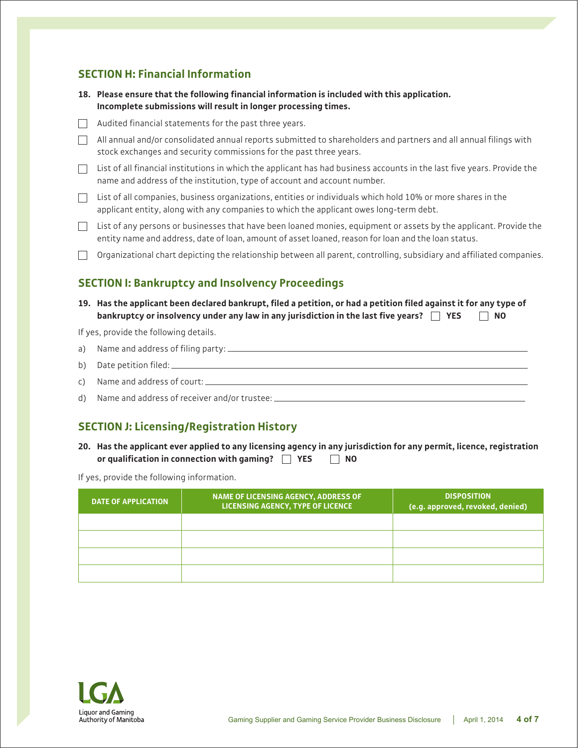## **SECTION H: Financial Information**

- **18. Please ensure that the following financial information is included with this application. Incomplete submissions will result in longer processing times.**
- $\Box$  Audited financial statements for the past three years.
- $\Box$  All annual and/or consolidated annual reports submitted to shareholders and partners and all annual filings with stock exchanges and security commissions for the past three years.
- $\Box$  List of all financial institutions in which the applicant has had business accounts in the last five years. Provide the name and address of the institution, type of account and account number.
- $\Box$  List of all companies, business organizations, entities or individuals which hold 10% or more shares in the applicant entity, along with any companies to which the applicant owes long-term debt.
- $\Box$  List of any persons or businesses that have been loaned monies, equipment or assets by the applicant. Provide the entity name and address, date of loan, amount of asset loaned, reason for loan and the loan status.
- $\Box$  Organizational chart depicting the relationship between all parent, controlling, subsidiary and affiliated companies.

## **SECTION I: Bankruptcy and Insolvency Proceedings**

**19. Has the applicant been declared bankrupt, filed a petition, or had a petition filed against it for any type of bankruptcy or insolvency under any law in any jurisdiction in the last five years? YES NO**

If yes, provide the following details.

| b) Date petition filed: $\frac{1}{2}$ Date petition filed: $\frac{1}{2}$ Denote the Denote Denote Denote Denote Denote Denote Denote Denote Denote Denote Denote Denote Denote Denote Denote Denote Denote Denote Denote Denote Denot |
|---------------------------------------------------------------------------------------------------------------------------------------------------------------------------------------------------------------------------------------|
|                                                                                                                                                                                                                                       |
| d) Name and address of receiver and/or trustee: ____________                                                                                                                                                                          |

# **SECTION J: Licensing/Registration History**

**20. Has the applicant ever applied to any licensing agency in any jurisdiction for any permit, licence, registration or qualification in connection with gaming? YES NO**

If yes, provide the following information.

| <b>DATE OF APPLICATION</b> | NAME OF LICENSING AGENCY, ADDRESS OF<br>LICENSING AGENCY, TYPE OF LICENCE | <b>DISPOSITION</b><br>(e.g. approved, revoked, denied) |
|----------------------------|---------------------------------------------------------------------------|--------------------------------------------------------|
|                            |                                                                           |                                                        |
|                            |                                                                           |                                                        |
|                            |                                                                           |                                                        |
|                            |                                                                           |                                                        |

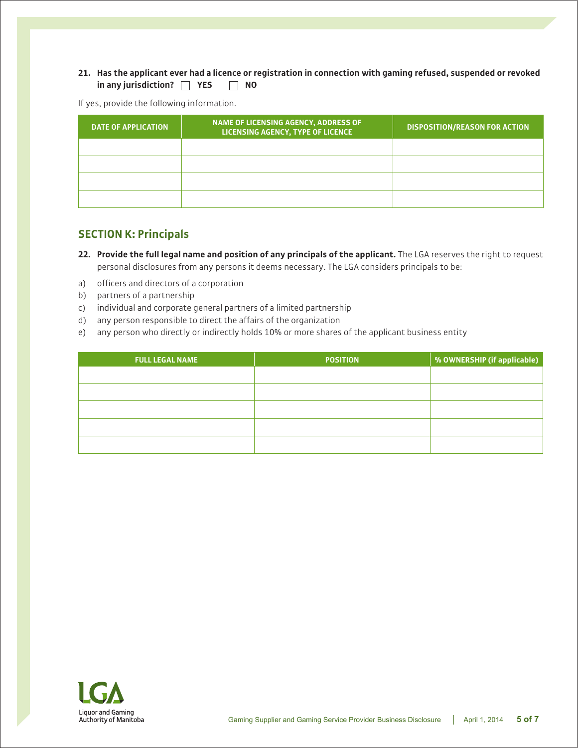#### **21. Has the applicant ever had a licence or registration in connection with gaming refused, suspended or revoked in any jurisdiction? YES NO**

If yes, provide the following information.

| <b>DATE OF APPLICATION</b> | NAME OF LICENSING AGENCY, ADDRESS OF<br>LICENSING AGENCY, TYPE OF LICENCE | <b>DISPOSITION/REASON FOR ACTION</b> |
|----------------------------|---------------------------------------------------------------------------|--------------------------------------|
|                            |                                                                           |                                      |
|                            |                                                                           |                                      |
|                            |                                                                           |                                      |
|                            |                                                                           |                                      |

#### **SECTION K: Principals**

**22. Provide the full legal name and position of any principals of the applicant.** The LGA reserves the right to request personal disclosures from any persons it deems necessary. The LGA considers principals to be:

- a) officers and directors of a corporation
- b) partners of a partnership
- c) individual and corporate general partners of a limited partnership
- d) any person responsible to direct the affairs of the organization
- e) any person who directly or indirectly holds 10% or more shares of the applicant business entity

| <b>POSITION</b> | % OWNERSHIP (if applicable) |
|-----------------|-----------------------------|
|                 |                             |
|                 |                             |
|                 |                             |
|                 |                             |
|                 |                             |
|                 |                             |

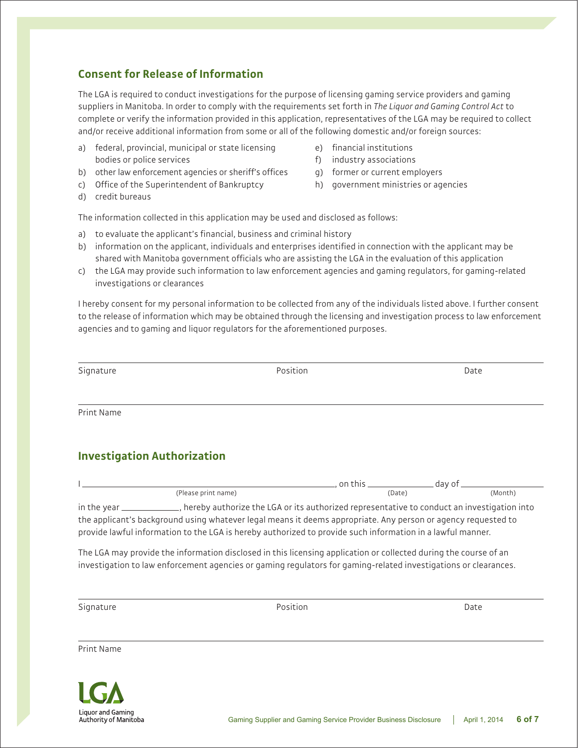## **Consent for Release of Information**

The LGA is required to conduct investigations for the purpose of licensing gaming service providers and gaming suppliers in Manitoba. In order to comply with the requirements set forth in *The Liquor and Gaming Control Act* to complete or verify the information provided in this application, representatives of the LGA may be required to collect and/or receive additional information from some or all of the following domestic and/or foreign sources:

- a) federal, provincial, municipal or state licensing bodies or police services
- b) other law enforcement agencies or sheriff's offices
- c) Office of the Superintendent of Bankruptcy
- d) credit bureaus
- e) financial institutions
- f) industry associations
- g) former or current employers
- h) government ministries or agencies

The information collected in this application may be used and disclosed as follows:

- a) to evaluate the applicant's financial, business and criminal history
- b) information on the applicant, individuals and enterprises identified in connection with the applicant may be shared with Manitoba government officials who are assisting the LGA in the evaluation of this application
- c) the LGA may provide such information to law enforcement agencies and gaming regulators, for gaming-related investigations or clearances

I hereby consent for my personal information to be collected from any of the individuals listed above. I further consent to the release of information which may be obtained through the licensing and investigation process to law enforcement agencies and to gaming and liquor regulators for the aforementioned purposes.

Signature **Position** Date **Position** Date **Position** Date **Position** 

Print Name

# **Investigation Authorization**

|               |                                                                                            | on this | dav of  |
|---------------|--------------------------------------------------------------------------------------------|---------|---------|
|               | (Please print name)                                                                        | (Date)  | (Month) |
| in the year _ | hereby authorize the LGA or its authorized representative to conduct an investigation into |         |         |

the applicant's background using whatever legal means it deems appropriate. Any person or agency requested to provide lawful information to the LGA is hereby authorized to provide such information in a lawful manner.

The LGA may provide the information disclosed in this licensing application or collected during the course of an investigation to law enforcement agencies or gaming regulators for gaming-related investigations or clearances.

Signature **Position** Date **Position** Date **Position** Date **Position** 

Print Name